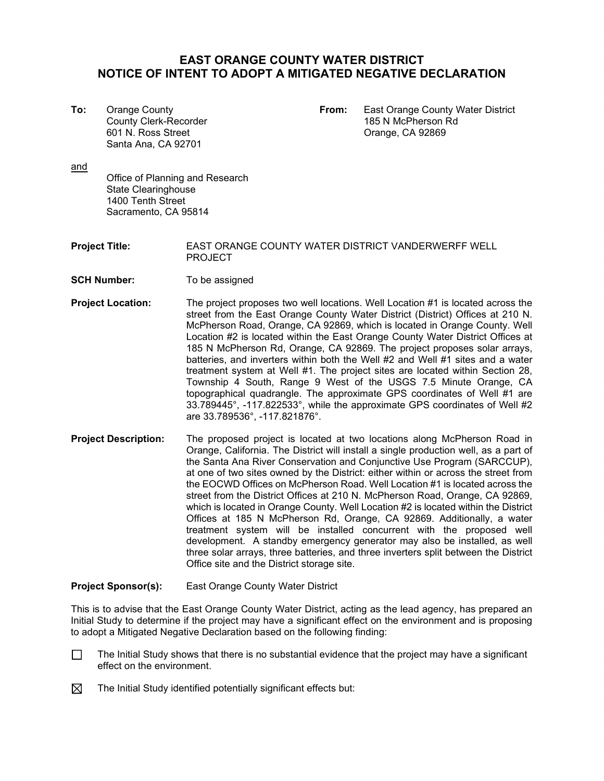## **EAST ORANGE COUNTY WATER DISTRICT NOTICE OF INTENT TO ADOPT A MITIGATED NEGATIVE DECLARATION**

County Clerk-Recorder Santa Ana, CA 92701

**To:** Orange County **From:** East Orange County Water District 601 N. Ross Street **CA 92869** 

and

Office of Planning and Research State Clearinghouse 1400 Tenth Street Sacramento, CA 95814

**Project Title:** EAST ORANGE COUNTY WATER DISTRICT VANDERWERFF WELL PROJECT

- **SCH Number:** To be assigned
- **Project Location:** The project proposes two well locations. Well Location #1 is located across the street from the East Orange County Water District (District) Offices at 210 N. McPherson Road, Orange, CA 92869, which is located in Orange County. Well Location #2 is located within the East Orange County Water District Offices at 185 N McPherson Rd, Orange, CA 92869. The project proposes solar arrays, batteries, and inverters within both the Well #2 and Well #1 sites and a water treatment system at Well #1. The project sites are located within Section 28, Township 4 South, Range 9 West of the USGS 7.5 Minute Orange, CA topographical quadrangle. The approximate GPS coordinates of Well #1 are 33.789445°, -117.822533°, while the approximate GPS coordinates of Well #2 are 33.789536°, -117.821876°.
- **Project Description:** The proposed project is located at two locations along McPherson Road in Orange, California. The District will install a single production well, as a part of the Santa Ana River Conservation and Conjunctive Use Program (SARCCUP), at one of two sites owned by the District: either within or across the street from the EOCWD Offices on McPherson Road. Well Location #1 is located across the street from the District Offices at 210 N. McPherson Road, Orange, CA 92869, which is located in Orange County. Well Location #2 is located within the District Offices at 185 N McPherson Rd, Orange, CA 92869. Additionally, a water treatment system will be installed concurrent with the proposed well development. A standby emergency generator may also be installed, as well three solar arrays, three batteries, and three inverters split between the District Office site and the District storage site.

**Project Sponsor(s):** East Orange County Water District

This is to advise that the East Orange County Water District, acting as the lead agency, has prepared an Initial Study to determine if the project may have a significant effect on the environment and is proposing to adopt a Mitigated Negative Declaration based on the following finding:

- The Initial Study shows that there is no substantial evidence that the project may have a significant effect on the environment.  $\Box$
- ⊠ The Initial Study identified potentially significant effects but: